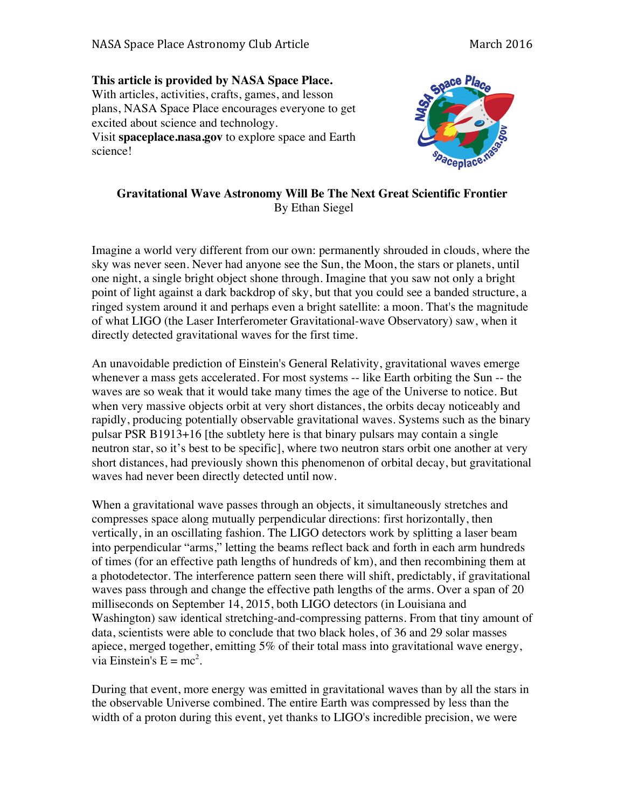**This article is provided by NASA Space Place.** With articles, activities, crafts, games, and lesson plans, NASA Space Place encourages everyone to get excited about science and technology. Visit **spaceplace.nasa.gov** to explore space and Earth science!



## **Gravitational Wave Astronomy Will Be The Next Great Scientific Frontier** By Ethan Siegel

Imagine a world very different from our own: permanently shrouded in clouds, where the sky was never seen. Never had anyone see the Sun, the Moon, the stars or planets, until one night, a single bright object shone through. Imagine that you saw not only a bright point of light against a dark backdrop of sky, but that you could see a banded structure, a ringed system around it and perhaps even a bright satellite: a moon. That's the magnitude of what LIGO (the Laser Interferometer Gravitational-wave Observatory) saw, when it directly detected gravitational waves for the first time.

An unavoidable prediction of Einstein's General Relativity, gravitational waves emerge whenever a mass gets accelerated. For most systems -- like Earth orbiting the Sun -- the waves are so weak that it would take many times the age of the Universe to notice. But when very massive objects orbit at very short distances, the orbits decay noticeably and rapidly, producing potentially observable gravitational waves. Systems such as the binary pulsar PSR B1913+16 [the subtlety here is that binary pulsars may contain a single neutron star, so it's best to be specific], where two neutron stars orbit one another at very short distances, had previously shown this phenomenon of orbital decay, but gravitational waves had never been directly detected until now.

When a gravitational wave passes through an objects, it simultaneously stretches and compresses space along mutually perpendicular directions: first horizontally, then vertically, in an oscillating fashion. The LIGO detectors work by splitting a laser beam into perpendicular "arms," letting the beams reflect back and forth in each arm hundreds of times (for an effective path lengths of hundreds of km), and then recombining them at a photodetector. The interference pattern seen there will shift, predictably, if gravitational waves pass through and change the effective path lengths of the arms. Over a span of 20 milliseconds on September 14, 2015, both LIGO detectors (in Louisiana and Washington) saw identical stretching-and-compressing patterns. From that tiny amount of data, scientists were able to conclude that two black holes, of 36 and 29 solar masses apiece, merged together, emitting 5% of their total mass into gravitational wave energy, via Einstein's  $E = mc^2$ .

During that event, more energy was emitted in gravitational waves than by all the stars in the observable Universe combined. The entire Earth was compressed by less than the width of a proton during this event, yet thanks to LIGO's incredible precision, we were